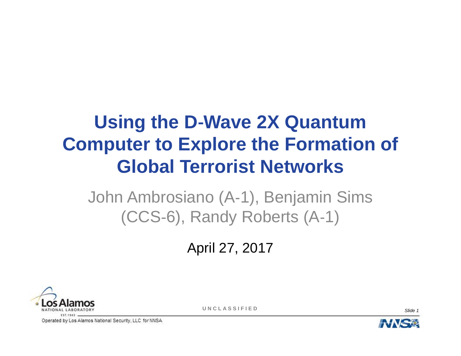# **Using the D-Wave 2X Quantum Computer to Explore the Formation of Global Terrorist Networks**

John Ambrosiano (A-1), Benjamin Sims (CCS-6), Randy Roberts (A-1)

April 27, 2017



**UNCLASSIFIED**

*Slide 1*

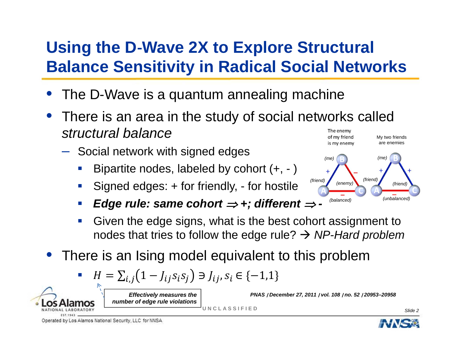# **Using the D-Wave 2X to Explore Structural Balance Sensitivity in Radical Social Networks**

- •The D-Wave is a quantum annealing machine
- There is an area in the study of social networks called •*structural balance*The enemy of my friend My two friends
	- Social network with signed edges
		- $\mathcal{L}(\mathcal{L})$ Bipartite nodes, labeled by cohort (+, - )
		- $\Box$ Signed edges: + for friendly, - for hostile
		- *Edge rule: same cohort*  $\Rightarrow$  *+; different*  $\Rightarrow$  *-*
		- $\mathcal{L}(\mathcal{L})$  Given the edge signs, what is the best cohort assignment to nodes that tries to follow the edge rule? *NP-Hard problem*

**UNCLASSIFIED**

 $\bullet$ There is an Ising model equivalent to this problem

$$
H = \sum_{i,j} (1 - J_{ij} s_i s_j) \ni J_{ij}, s_i \in \{-1, 1\}
$$

*Effectively measures the number of edge rule violations*



*PNAS* ∣ *December 27, 2011* ∣ *vol. 108* ∣ *no. 52* ∣ *20953–20958*

*Slide 2*



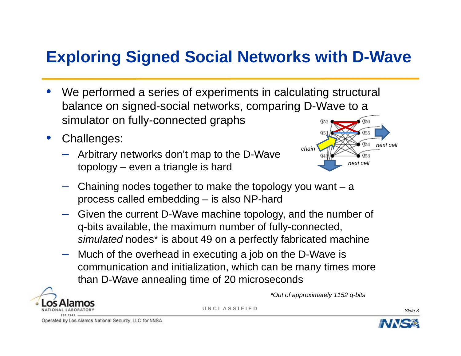## **Exploring Signed Social Networks with D-Wave**

- • We performed a series of experiments in calculating structural balance on signed-social networks, comparing D-Wave to a simulator on fully-connected graphs
- • Challenges:
	- Arbitrary networks don't map to the D-Wave topology – even a triangle is hard



- Chaining nodes together to make the topology you want <sup>a</sup> process called embedding – is also NP-hard
- Given the current D-Wave machine topology, and the number of q-bits available, the maximum number of fully-connected, *simulated* nodes\* is about 49 on a perfectly fabricated machine
- Much of the overhead in executing a job on the D-Wave is communication and initialization, which can be many times more than D-Wave annealing time of 20 microseconds



*\*Out of approximately 1152 q-bits*

**UNCLASSIFIED**

*Slide 3*

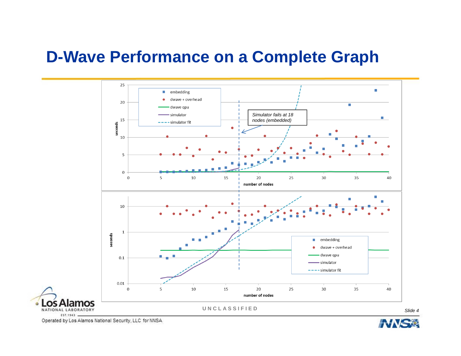# **D-Wave Performance on a Complete Graph**



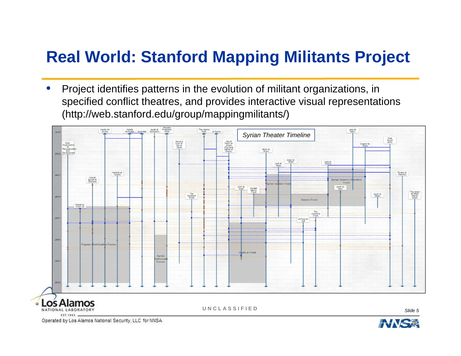# **Real World: Stanford Mapping Militants Project**

• Project identifies patterns in the evolution of militant organizations, in specified conflict theatres, and provides interactive visual representations (http://web.stanford.edu/group/mappingmilitants/)



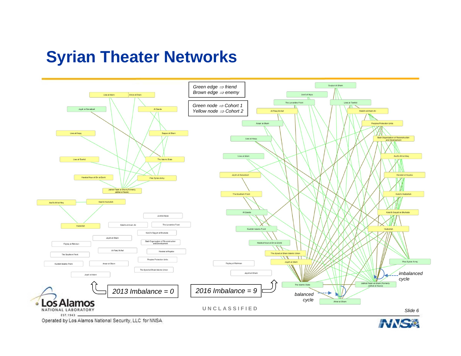#### **Syrian Theater Networks**



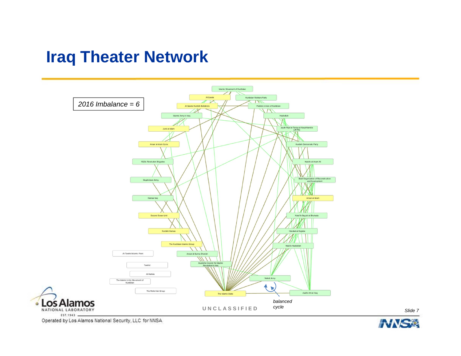#### **Iraq Theater Network**



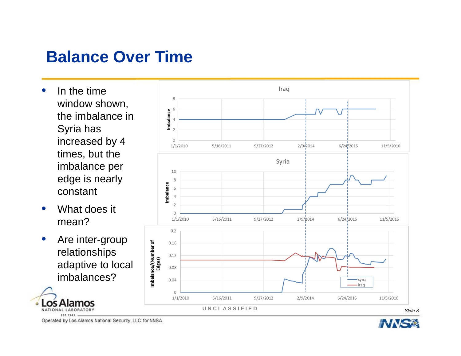#### **Balance Over Time**

- • In the time window shown, the imbalance in Syria has increased by 4 times, but the imbalance per edge is nearly constant
- • What does it mean?
- • Are inter-group relationships adaptive to local imbalances?

NATIONAL LABORATORY EST.1943



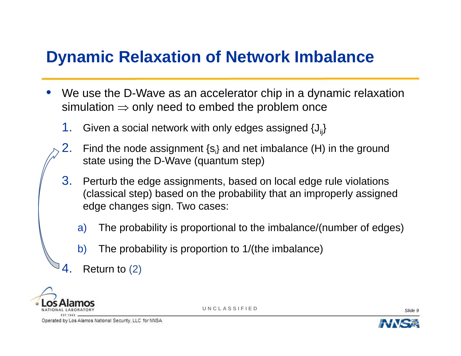## **Dynamic Relaxation of Network Imbalance**

- • We use the D-Wave as an accelerator chip in a dynamic relaxation simulation  $\Rightarrow$  only need to embed the problem once
	- 1.Given a social network with only edges assigned  $\{J_{ii}\}$
	- 2. Find the node assignment {si} and net imbalance (H) in the ground state using the D-Wave (quantum step)
	- 3. Perturb the edge assignments, based on local edge rule violations (classical step) based on the probability that an improperly assigned edge changes sign. Two cases:
		- a) The probability is proportional to the imbalance/(number of edges)
		- b) The probability is proportion to 1/(the imbalance)
	- 4.Return to (2)



**UNCLASSIFIED**

*Slide 9*

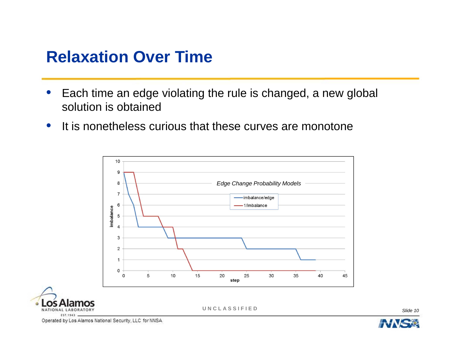#### **Relaxation Over Time**

- $\bullet$  Each time an edge violating the rule is changed, a new global solution is obtained
- $\bullet$ • It is nonetheless curious that these curves are monotone





**UNCLASSIFIED**

*Slide 10*

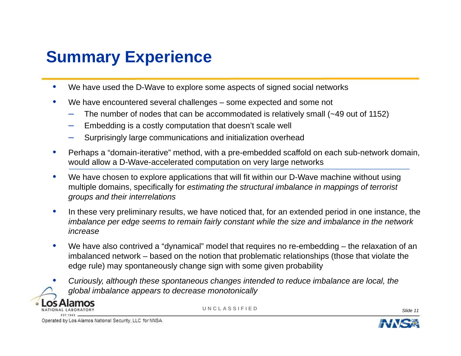# **Summary Experience**

- $\bullet$ We have used the D-Wave to explore some aspects of signed social networks
- $\bullet$  We have encountered several challenges – some expected and some not
	- The number of nodes that can be accommodated is relatively small (~49 out of 1152)
	- –Embedding is a costly computation that doesn't scale well
	- Surprisingly large communications and initialization overhead
- $\bullet$  Perhaps a "domain-iterative" method, with a pre-embedded scaffold on each sub-network domain, would allow a D-Wave-accelerated computation on very large networks
- $\bullet$  We have chosen to explore applications that will fit within our D-Wave machine without using multiple domains, specifically for *estimating the structural imbalance in mappings of terrorist groups and their interrelations*
- • In these very preliminary results, we have noticed that, for an extended period in one instance, the *imbalance per edge seems to remain fairly constant while the size and imbalance in the network increase*
- $\bullet$ We have also contrived a "dynamical" model that requires no re-embedding – the relaxation of an imbalanced network – based on the notion that problematic relationships (those that violate the edge rule) may spontaneously change sign with some given probability
	- *Curiously, although these spontaneous changes intended to reduce imbalance are local, the global imbalance appears to decrease monotonically*



•

**UNCLASSIFIED**

*Slide 11*